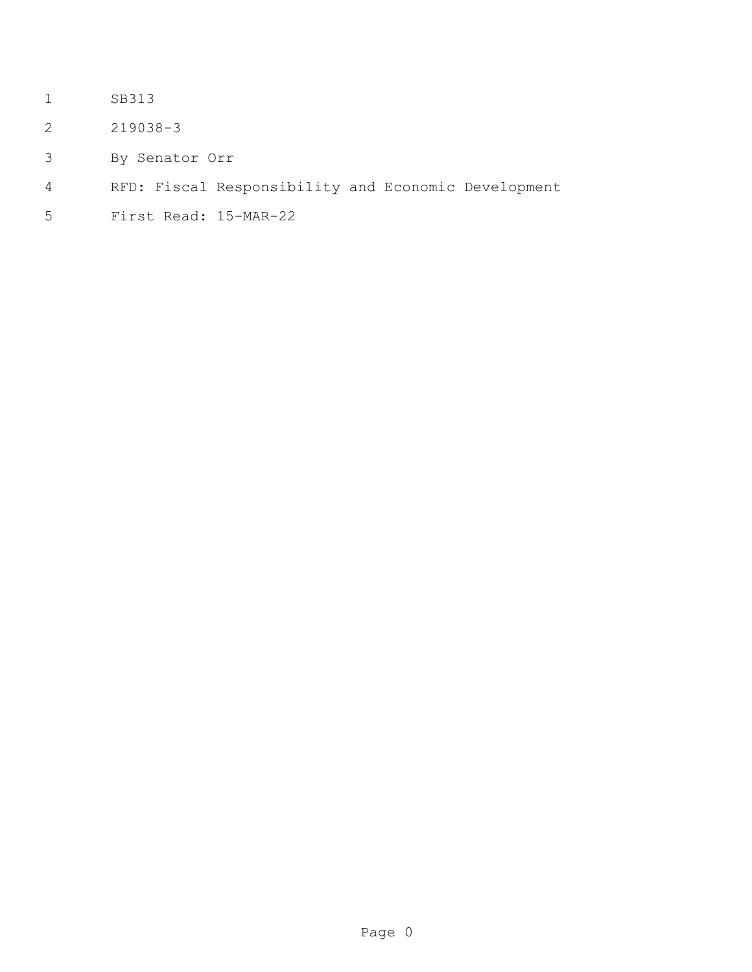- SB313
- 219038-3
- By Senator Orr
- RFD: Fiscal Responsibility and Economic Development
- First Read: 15-MAR-22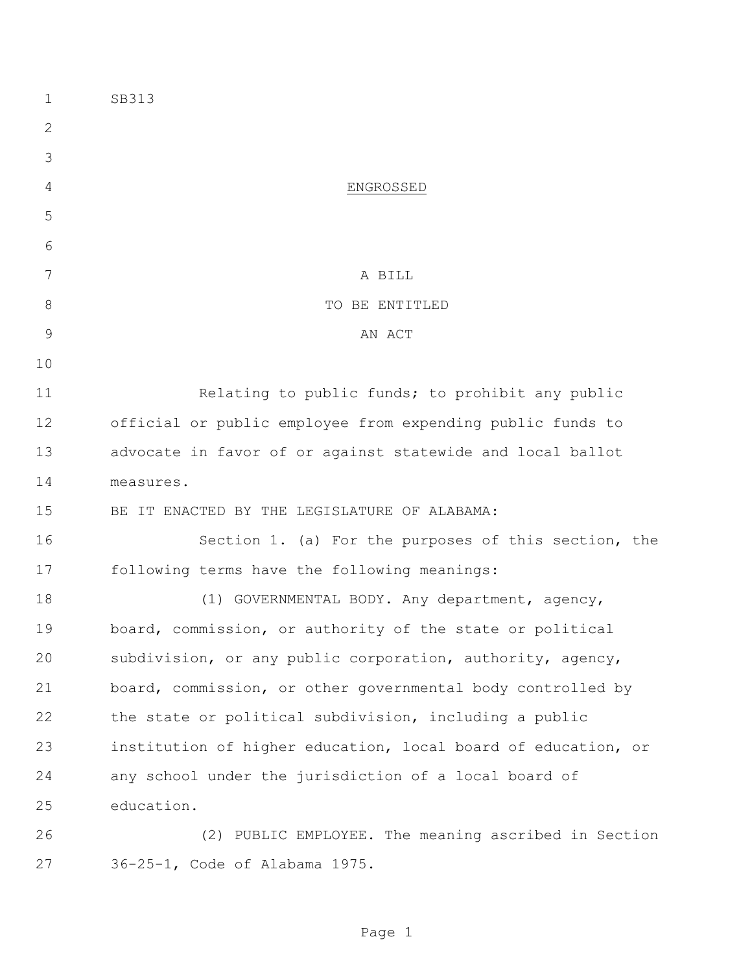| 1             | SB313                                                         |
|---------------|---------------------------------------------------------------|
| $\mathbf{2}$  |                                                               |
| 3             |                                                               |
| 4             | ENGROSSED                                                     |
| 5             |                                                               |
| 6             |                                                               |
| 7             | A BILL                                                        |
| $8\,$         | TO BE ENTITLED                                                |
| $\mathcal{G}$ | AN ACT                                                        |
| 10            |                                                               |
| 11            | Relating to public funds; to prohibit any public              |
| 12            | official or public employee from expending public funds to    |
| 13            | advocate in favor of or against statewide and local ballot    |
| 14            | measures.                                                     |
| 15            | BE IT ENACTED BY THE LEGISLATURE OF ALABAMA:                  |
| 16            | Section 1. (a) For the purposes of this section, the          |
| 17            | following terms have the following meanings:                  |
| 18            | (1) GOVERNMENTAL BODY. Any department, agency,                |
| 19            | board, commission, or authority of the state or political     |
| 20            | subdivision, or any public corporation, authority, agency,    |
| 21            | board, commission, or other governmental body controlled by   |
| 22            | the state or political subdivision, including a public        |
| 23            | institution of higher education, local board of education, or |
| 24            | any school under the jurisdiction of a local board of         |
| 25            | education.                                                    |
| 26            | (2) PUBLIC EMPLOYEE. The meaning ascribed in Section          |
| 27            | 36-25-1, Code of Alabama 1975.                                |

Page 1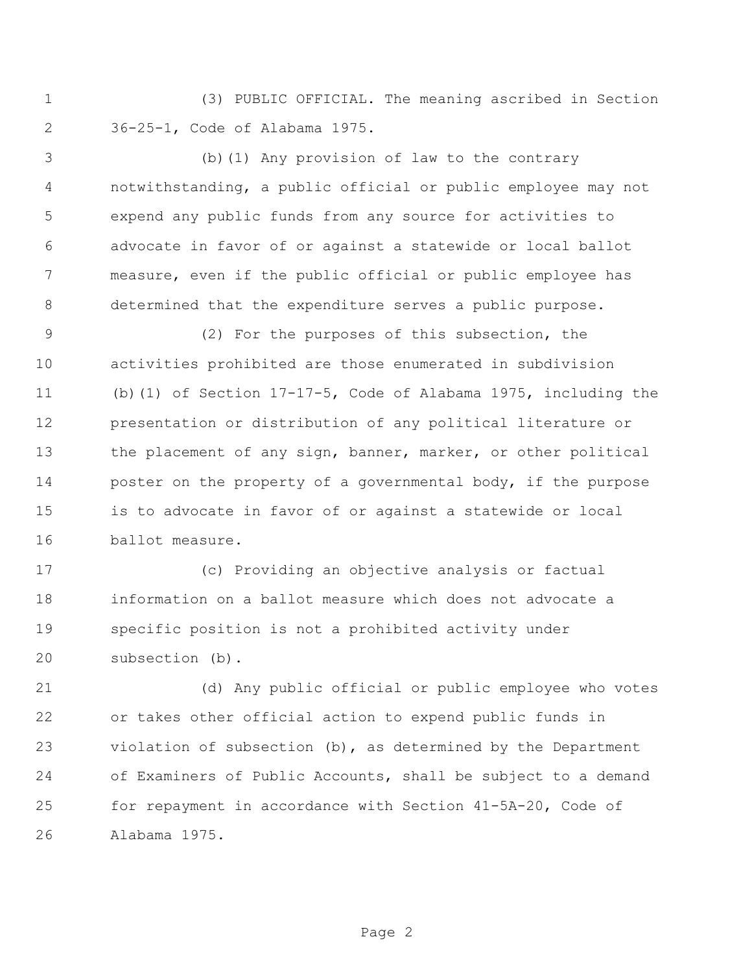(3) PUBLIC OFFICIAL. The meaning ascribed in Section 36-25-1, Code of Alabama 1975.

 (b)(1) Any provision of law to the contrary notwithstanding, a public official or public employee may not expend any public funds from any source for activities to advocate in favor of or against a statewide or local ballot measure, even if the public official or public employee has determined that the expenditure serves a public purpose.

 (2) For the purposes of this subsection, the activities prohibited are those enumerated in subdivision (b)(1) of Section 17-17-5, Code of Alabama 1975, including the presentation or distribution of any political literature or the placement of any sign, banner, marker, or other political poster on the property of a governmental body, if the purpose is to advocate in favor of or against a statewide or local ballot measure.

 (c) Providing an objective analysis or factual information on a ballot measure which does not advocate a specific position is not a prohibited activity under subsection (b).

 (d) Any public official or public employee who votes or takes other official action to expend public funds in violation of subsection (b), as determined by the Department of Examiners of Public Accounts, shall be subject to a demand for repayment in accordance with Section 41-5A-20, Code of Alabama 1975.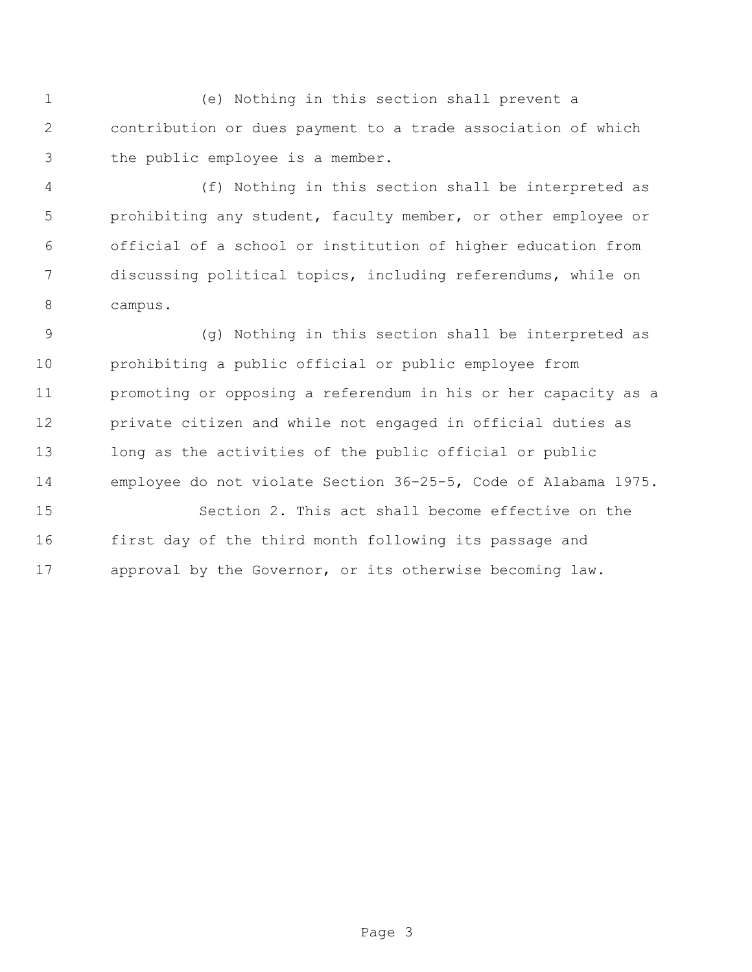(e) Nothing in this section shall prevent a contribution or dues payment to a trade association of which the public employee is a member.

 (f) Nothing in this section shall be interpreted as prohibiting any student, faculty member, or other employee or official of a school or institution of higher education from discussing political topics, including referendums, while on campus.

 (g) Nothing in this section shall be interpreted as prohibiting a public official or public employee from promoting or opposing a referendum in his or her capacity as a private citizen and while not engaged in official duties as long as the activities of the public official or public employee do not violate Section 36-25-5, Code of Alabama 1975. Section 2. This act shall become effective on the

 first day of the third month following its passage and approval by the Governor, or its otherwise becoming law.

Page 3